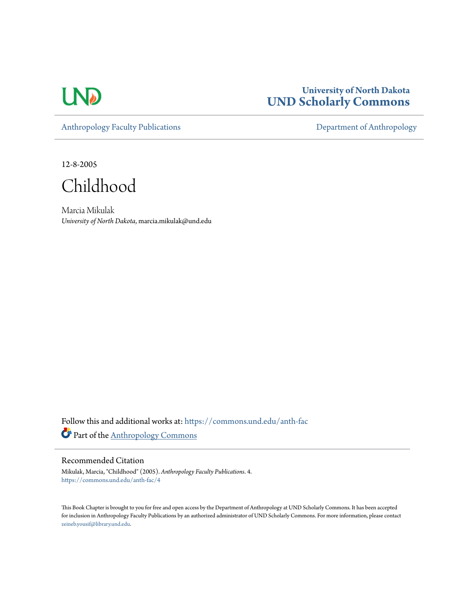

## **University of North Dakota [UND Scholarly Commons](https://commons.und.edu?utm_source=commons.und.edu%2Fanth-fac%2F4&utm_medium=PDF&utm_campaign=PDFCoverPages)**

[Anthropology Faculty Publications](https://commons.und.edu/anth-fac?utm_source=commons.und.edu%2Fanth-fac%2F4&utm_medium=PDF&utm_campaign=PDFCoverPages) **[Department of Anthropology](https://commons.und.edu/anth?utm_source=commons.und.edu%2Fanth-fac%2F4&utm_medium=PDF&utm_campaign=PDFCoverPages)** 

12-8-2005

Childhood

Marcia Mikulak *University of North Dakota*, marcia.mikulak@und.edu

Follow this and additional works at: [https://commons.und.edu/anth-fac](https://commons.und.edu/anth-fac?utm_source=commons.und.edu%2Fanth-fac%2F4&utm_medium=PDF&utm_campaign=PDFCoverPages) Part of the [Anthropology Commons](http://network.bepress.com/hgg/discipline/318?utm_source=commons.und.edu%2Fanth-fac%2F4&utm_medium=PDF&utm_campaign=PDFCoverPages)

#### Recommended Citation

Mikulak, Marcia, "Childhood" (2005). *Anthropology Faculty Publications*. 4. [https://commons.und.edu/anth-fac/4](https://commons.und.edu/anth-fac/4?utm_source=commons.und.edu%2Fanth-fac%2F4&utm_medium=PDF&utm_campaign=PDFCoverPages)

This Book Chapter is brought to you for free and open access by the Department of Anthropology at UND Scholarly Commons. It has been accepted for inclusion in Anthropology Faculty Publications by an authorized administrator of UND Scholarly Commons. For more information, please contact [zeineb.yousif@library.und.edu](mailto:zeineb.yousif@library.und.edu).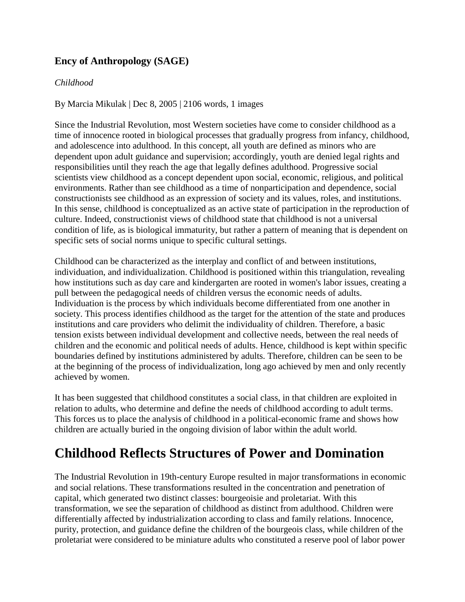### **Ency of Anthropology (SAGE)**

### *Childhood*

By Marcia Mikulak | Dec 8, 2005 | 2106 words, 1 images

Since the Industrial Revolution, most Western societies have come to consider childhood as a time of innocence rooted in biological processes that gradually progress from infancy, childhood, and adolescence into adulthood. In this concept, all youth are defined as minors who are dependent upon adult guidance and supervision; accordingly, youth are denied legal rights and responsibilities until they reach the age that legally defines adulthood. Progressive social scientists view childhood as a concept dependent upon social, economic, religious, and political environments. Rather than see childhood as a time of nonparticipation and dependence, social constructionists see childhood as an expression of society and its values, roles, and institutions. In this sense, childhood is conceptualized as an active state of participation in the reproduction of culture. Indeed, constructionist views of childhood state that childhood is not a universal condition of life, as is biological immaturity, but rather a pattern of meaning that is dependent on specific sets of social norms unique to specific cultural settings.

Childhood can be characterized as the interplay and conflict of and between institutions, individuation, and individualization. Childhood is positioned within this triangulation, revealing how institutions such as day care and kindergarten are rooted in women's labor issues, creating a pull between the pedagogical needs of children versus the economic needs of adults. Individuation is the process by which individuals become differentiated from one another in society. This process identifies childhood as the target for the attention of the state and produces institutions and care providers who delimit the individuality of children. Therefore, a basic tension exists between individual development and collective needs, between the real needs of children and the economic and political needs of adults. Hence, childhood is kept within specific boundaries defined by institutions administered by adults. Therefore, children can be seen to be at the beginning of the process of individualization, long ago achieved by men and only recently achieved by women.

It has been suggested that childhood constitutes a social class, in that children are exploited in relation to adults, who determine and define the needs of childhood according to adult terms. This forces us to place the analysis of childhood in a political-economic frame and shows how children are actually buried in the ongoing division of labor within the adult world.

## **Childhood Reflects Structures of Power and Domination**

The Industrial Revolution in 19th-century Europe resulted in major transformations in economic and social relations. These transformations resulted in the concentration and penetration of capital, which generated two distinct classes: bourgeoisie and proletariat. With this transformation, we see the separation of childhood as distinct from adulthood. Children were differentially affected by industrialization according to class and family relations. Innocence, purity, protection, and guidance define the children of the bourgeois class, while children of the proletariat were considered to be miniature adults who constituted a reserve pool of labor power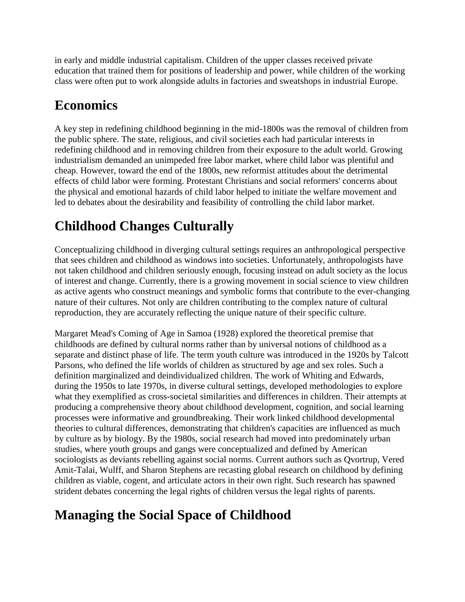in early and middle industrial capitalism. Children of the upper classes received private education that trained them for positions of leadership and power, while children of the working class were often put to work alongside adults in factories and sweatshops in industrial Europe.

# **Economics**

A key step in redefining childhood beginning in the mid-1800s was the removal of children from the public sphere. The state, religious, and civil societies each had particular interests in redefining childhood and in removing children from their exposure to the adult world. Growing industrialism demanded an unimpeded free labor market, where child labor was plentiful and cheap. However, toward the end of the 1800s, new reformist attitudes about the detrimental effects of child labor were forming. Protestant Christians and social reformers' concerns about the physical and emotional hazards of child labor helped to initiate the welfare movement and led to debates about the desirability and feasibility of controlling the child labor market.

# **Childhood Changes Culturally**

Conceptualizing childhood in diverging cultural settings requires an anthropological perspective that sees children and childhood as windows into societies. Unfortunately, anthropologists have not taken childhood and children seriously enough, focusing instead on adult society as the locus of interest and change. Currently, there is a growing movement in social science to view children as active agents who construct meanings and symbolic forms that contribute to the ever-changing nature of their cultures. Not only are children contributing to the complex nature of cultural reproduction, they are accurately reflecting the unique nature of their specific culture.

Margaret Mead's Coming of Age in Samoa (1928) explored the theoretical premise that childhoods are defined by cultural norms rather than by universal notions of childhood as a separate and distinct phase of life. The term youth culture was introduced in the 1920s by Talcott Parsons, who defined the life worlds of children as structured by age and sex roles. Such a definition marginalized and deindividualized children. The work of Whiting and Edwards, during the 1950s to late 1970s, in diverse cultural settings, developed methodologies to explore what they exemplified as cross-societal similarities and differences in children. Their attempts at producing a comprehensive theory about childhood development, cognition, and social learning processes were informative and groundbreaking. Their work linked childhood developmental theories to cultural differences, demonstrating that children's capacities are influenced as much by culture as by biology. By the 1980s, social research had moved into predominately urban studies, where youth groups and gangs were conceptualized and defined by American sociologists as deviants rebelling against social norms. Current authors such as Qvortrup, Vered Amit-Talai, Wulff, and Sharon Stephens are recasting global research on childhood by defining children as viable, cogent, and articulate actors in their own right. Such research has spawned strident debates concerning the legal rights of children versus the legal rights of parents.

## **Managing the Social Space of Childhood**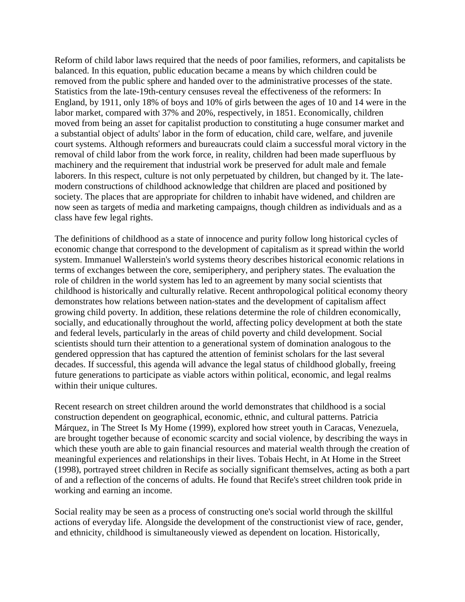Reform of child labor laws required that the needs of poor families, reformers, and capitalists be balanced. In this equation, public education became a means by which children could be removed from the public sphere and handed over to the administrative processes of the state. Statistics from the late-19th-century censuses reveal the effectiveness of the reformers: In England, by 1911, only 18% of boys and 10% of girls between the ages of 10 and 14 were in the labor market, compared with 37% and 20%, respectively, in 1851. Economically, children moved from being an asset for capitalist production to constituting a huge consumer market and a substantial object of adults' labor in the form of education, child care, welfare, and juvenile court systems. Although reformers and bureaucrats could claim a successful moral victory in the removal of child labor from the work force, in reality, children had been made superfluous by machinery and the requirement that industrial work be preserved for adult male and female laborers. In this respect, culture is not only perpetuated by children, but changed by it. The latemodern constructions of childhood acknowledge that children are placed and positioned by society. The places that are appropriate for children to inhabit have widened, and children are now seen as targets of media and marketing campaigns, though children as individuals and as a class have few legal rights.

The definitions of childhood as a state of innocence and purity follow long historical cycles of economic change that correspond to the development of capitalism as it spread within the world system. Immanuel Wallerstein's world systems theory describes historical economic relations in terms of exchanges between the core, semiperiphery, and periphery states. The evaluation the role of children in the world system has led to an agreement by many social scientists that childhood is historically and culturally relative. Recent anthropological political economy theory demonstrates how relations between nation-states and the development of capitalism affect growing child poverty. In addition, these relations determine the role of children economically, socially, and educationally throughout the world, affecting policy development at both the state and federal levels, particularly in the areas of child poverty and child development. Social scientists should turn their attention to a generational system of domination analogous to the gendered oppression that has captured the attention of feminist scholars for the last several decades. If successful, this agenda will advance the legal status of childhood globally, freeing future generations to participate as viable actors within political, economic, and legal realms within their unique cultures.

Recent research on street children around the world demonstrates that childhood is a social construction dependent on geographical, economic, ethnic, and cultural patterns. Patricia Márquez, in The Street Is My Home (1999), explored how street youth in Caracas, Venezuela, are brought together because of economic scarcity and social violence, by describing the ways in which these youth are able to gain financial resources and material wealth through the creation of meaningful experiences and relationships in their lives. Tobais Hecht, in At Home in the Street (1998), portrayed street children in Recife as socially significant themselves, acting as both a part of and a reflection of the concerns of adults. He found that Recife's street children took pride in working and earning an income.

Social reality may be seen as a process of constructing one's social world through the skillful actions of everyday life. Alongside the development of the constructionist view of race, gender, and ethnicity, childhood is simultaneously viewed as dependent on location. Historically,